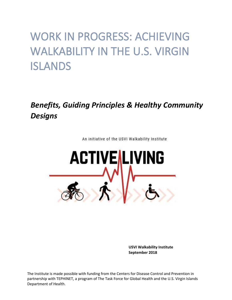# WORK IN PROGRESS: ACHIEVING WALKABILITY IN THE U.S. VIRGIN ISLANDS

# *Benefits, Guiding Principles & Healthy Community Designs*



An initiative of the USVI Walkability Institute

**USVI Walkability Institute September 2018**

The Institute is made possible with funding from the Centers for Disease Control and Prevention in partnership with TEPHINET, a program of The Task Force for Global Health and the U.S. Virgin Islands Department of Health.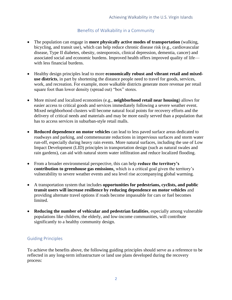### Benefits of Walkability in a Community

- The population can engage in **more physically active modes of transportation** (walking, bicycling, and transit use), which can help reduce chronic disease risk (e.g., cardiovascular disease, Type II diabetes, obesity, osteoporosis, clinical depression, dementia, cancer) and associated social and economic burdens. Improved health offers improved quality of life with less financial burdens.
- Healthy design principles lead to more **economically robust and vibrant retail and mixeduse districts**, in part by shortening the distance people need to travel for goods, services, work, and recreation. For example, more walkable districts generate more revenue per retail square foot than lower density (spread out) "box" stores.
- More mixed and localized economies (e.g., **neighborhood retail near housing**) allows for easier access to critical goods and services immediately following a severe weather event. Mixed neighborhood clusters will become natural focal points for recovery efforts and the delivery of critical needs and materials and may be more easily served than a population that has to access services in suburban-style retail malls.
- **Reduced dependence on motor vehicles** can lead to less paved surface areas dedicated to roadways and parking, and commensurate reductions in impervious surfaces and storm water run-off, especially during heavy rain events. More natural surfaces, including the use of Low Impact Development (LID) principles in transportation design (such as natural swales and rain gardens), can aid with natural storm water infiltration and reduce localized flooding.
- From a broader environmental perspective, this can help **reduce the territory's contribution to greenhouse gas emissions**, which is a critical goal given the territory's vulnerability to severe weather events and sea level rise accompanying global warming.
- A transportation system that includes **opportunities for pedestrians, cyclists, and public transit users will increase resilience by reducing dependence on motor vehicles** and providing alternate travel options if roads become impassable for cars or fuel becomes limited.
- **Reducing the number of vehicular and pedestrian fatalities**, especially among vulnerable populations like children, the elderly, and low-income communities, will contribute significantly to a healthy community design.

#### Guiding Principles

To achieve the benefits above, the following guiding principles should serve as a reference to be reflected in any long-term infrastructure or land use plans developed during the recovery process: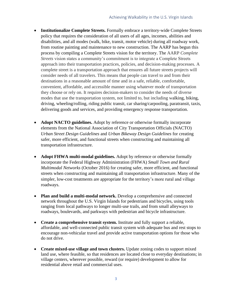- **Institutionalize Complete Streets.** Formally embrace a territory-wide Complete Streets policy that requires the consideration of all users of all ages, incomes, abilities and disabilities, and all modes (walk, bike, transit, motor vehicle) during all roadway work, from routine painting and maintenance to new construction. The AARP has begun this process by compiling a Complete Streets vision for the territory. The AARP *Complete Streets* vision states a community's commitment is to integrate a Complete Streets approach into their transportation practices, policies, and decision-making processes. A complete street is a transportation approach that ensures all future streets projects will consider needs of all travelers. This means that people can travel to and from their destinations in a reasonable amount of time and in a safe, reliable, comfortable, convenient, affordable, and accessible manner using whatever mode of transportation they choose or rely on. It requires decision-makers to consider the needs of diverse modes that use the transportation system, not limited to, but including walking, biking, driving, wheeling/rolling, riding public transit, car sharing/carpooling, paratransit, taxis, delivering goods and services, and providing emergency response transportation.
- **Adopt NACTO guidelines.** Adopt by reference or otherwise formally incorporate elements from the National Association of City Transportation Officials (NACTO) *Urban Street Design Guidelines* and *Urban Bikeway Design Guidelines* for creating safer, more efficient, and functional streets when constructing and maintaining all transportation infrastructure.
- **Adopt FHWA multi-modal guidelines.** Adopt by reference or otherwise formally incorporate the Federal Highway Administration (FHWA) *Small Town and Rural Multimodal Networks* (October 2016) for creating safer, more efficient, and functional streets when constructing and maintaining all transportation infrastructure. Many of the simpler, low-cost treatments are appropriate for the territory's more rural and village roadways.
- **Plan and build a multi-modal network.** Develop a comprehensive and connected network throughout the U.S. Virgin Islands for pedestrians and bicycles, using tools ranging from local pathways to longer multi-use trails, and from small alleyways to roadways, boulevards, and parkways with pedestrian and bicycle infrastructure.
- **Create a comprehensive transit system.** Institute and fully support a reliable, affordable, and well-connected public transit system with adequate bus and rest stops to encourage non-vehicular travel and provide active transportation options for those who do not drive.
- **Create mixed-use village and town clusters.** Update zoning codes to support mixed land use, where feasible, so that residences are located close to everyday destinations; in village centers, wherever possible, reward (or require) development to allow for residential above retail and commercial uses.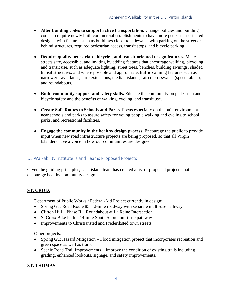- **Alter building codes to support active transportation.** Change policies and building codes to require newly built commercial establishments to have more pedestrian-oriented designs, with features such as buildings closer to sidewalks with parking on the street or behind structures, required pedestrian access, transit stops, and bicycle parking.
- **Require quality pedestrian-, bicycle-, and transit-oriented design features.** Make streets safe, accessible, and inviting by adding features that encourage walking, bicycling, and transit use, such as adequate lighting, street trees, benches, building awnings, shaded transit structures, and where possible and appropriate, traffic calming features such as narrower travel lanes, curb extensions, median islands, raised crosswalks (speed tables), and roundabouts.
- **Build community support and safety skills.** Educate the community on pedestrian and bicycle safety and the benefits of walking, cycling, and transit use.
- **Create Safe Routes to Schools and Parks.** Focus especially on the built environment near schools and parks to assure safety for young people walking and cycling to school, parks, and recreational facilities.
- **Engage the community in the healthy design process.** Encourage the public to provide input when new road infrastructure projects are being proposed, so that all Virgin Islanders have a voice in how our communities are designed.

# US Walkability Institute Island Teams Proposed Projects

Given the guiding principles, each island team has created a list of proposed projects that encourage healthy community design:

# **ST. CROIX**

Department of Public Works / Federal-Aid Project currently in design:

- Spring Gut Road Route  $85 2$ -mile roadway with separate multi-use pathway
- Clifton Hill Phase II Roundabout at La Reine Intersection
- St Croix Bike Path 14-mile South Shore multi-use pathway
- Improvements to Christiansted and Frederiksted town streets

Other projects:

- Spring Gut Hazard Mitigation Flood mitigation project that incorporates recreation and green space as well as trails.
- Scenic Road Trail Improvements Improve the condition of existing trails including grading, enhanced lookouts, signage, and safety improvements.

## **ST. THOMAS**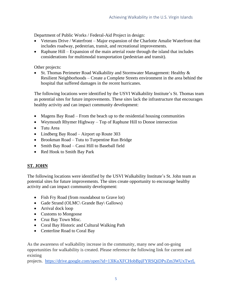Department of Public Works / Federal-Aid Project in design:

- Veterans Drive / Waterfront Major expansion of the Charlotte Amalie Waterfront that includes roadway, pedestrian, transit, and recreational improvements.
- Raphune Hill Expansion of the main arterial route through the island that includes considerations for multimodal transportation (pedestrian and transit).

#### Other projects:

• St. Thomas Perimeter Road Walkability and Stormwater Management: Healthy & Resilient Neighborhoods – Create a Complete Streets environment in the area behind the hospital that suffered damages in the recent hurricanes.

The following locations were identified by the USVI Walkability Institute's St. Thomas team as potential sites for future improvements. These sites lack the infrastructure that encourages healthy activity and can impact community development:

- Magens Bay Road From the beach up to the residential housing communities
- Weymouth Rhymer Highway Top of Raphune Hill to Donoe intersection
- Tutu Area
- Lindberg Bay Road Airport up Route 303
- Brookman Road Tutu to Turpentine Run Bridge
- Smith Bay Road Cassi Hill to Baseball field
- Red Hook to Smith Bay Park

## **ST. JOHN**

The following locations were identified by the USVI Walkability Institute's St. John team as potential sites for future improvements. The sites create opportunity to encourage healthy activity and can impact community development:

- Fish Fry Road (from roundabout to Grave lot)
- Gade Strand (OLMC\ Grande Bay\ Gallows)
- Arrival dock loop
- Customs to Mongoose
- Cruz Bay Town Misc.
- Coral Bay Historic and Cultural Walking Path
- Centerline Road to Coral Bay

As the awareness of walkability increase in the community, many new and on-going opportunities for walkability is created. Please reference the following link for current and existing

projects. <https://drive.google.com/open?id=13lKuXFCHobBpjFYRSQiDPyZm3WUxTwrL>